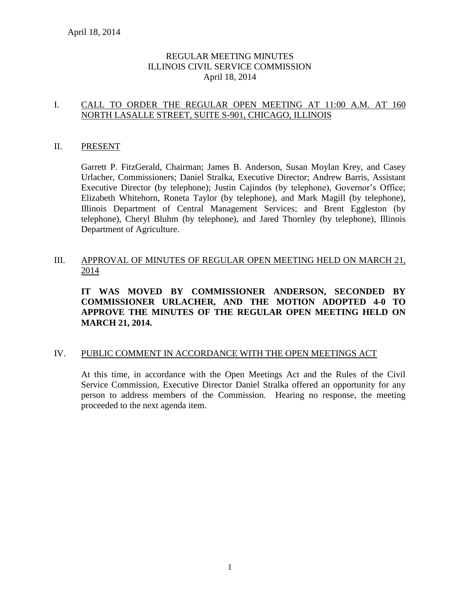# REGULAR MEETING MINUTES ILLINOIS CIVIL SERVICE COMMISSION April 18, 2014

# I. CALL TO ORDER THE REGULAR OPEN MEETING AT 11:00 A.M. AT 160 NORTH LASALLE STREET, SUITE S-901, CHICAGO, ILLINOIS

### II. PRESENT

Garrett P. FitzGerald, Chairman; James B. Anderson, Susan Moylan Krey, and Casey Urlacher, Commissioners; Daniel Stralka, Executive Director; Andrew Barris, Assistant Executive Director (by telephone); Justin Cajindos (by telephone), Governor's Office; Elizabeth Whitehorn, Roneta Taylor (by telephone), and Mark Magill (by telephone), Illinois Department of Central Management Services; and Brent Eggleston (by telephone), Cheryl Bluhm (by telephone), and Jared Thornley (by telephone), Illinois Department of Agriculture.

# III. APPROVAL OF MINUTES OF REGULAR OPEN MEETING HELD ON MARCH 21, 2014

**IT WAS MOVED BY COMMISSIONER ANDERSON, SECONDED BY COMMISSIONER URLACHER, AND THE MOTION ADOPTED 4-0 TO APPROVE THE MINUTES OF THE REGULAR OPEN MEETING HELD ON MARCH 21, 2014.** 

#### IV. PUBLIC COMMENT IN ACCORDANCE WITH THE OPEN MEETINGS ACT

At this time, in accordance with the Open Meetings Act and the Rules of the Civil Service Commission, Executive Director Daniel Stralka offered an opportunity for any person to address members of the Commission. Hearing no response, the meeting proceeded to the next agenda item.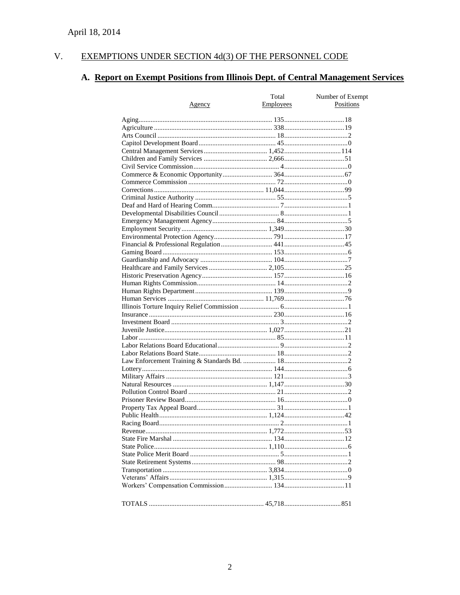#### $V<sub>r</sub>$ EXEMPTIONS UNDER SECTION 4d(3) OF THE PERSONNEL CODE

# A. Report on Exempt Positions from Illinois Dept. of Central Management Services

|        | Total     | Number of Exempt |
|--------|-----------|------------------|
| Agency | Employees | Positions        |
|        |           |                  |
|        |           |                  |
|        |           |                  |
|        |           |                  |
|        |           |                  |
|        |           |                  |
|        |           |                  |
|        |           |                  |
|        |           |                  |
|        |           |                  |
|        |           |                  |
|        |           |                  |
|        |           |                  |
|        |           |                  |
|        |           |                  |
|        |           |                  |
|        |           |                  |
|        |           |                  |
|        |           |                  |
|        |           |                  |
|        |           |                  |
|        |           |                  |
|        |           |                  |
|        |           |                  |
|        |           |                  |
|        |           |                  |
|        |           |                  |
|        |           |                  |
|        |           |                  |
|        |           |                  |
|        |           |                  |
|        |           |                  |
|        |           |                  |
|        |           |                  |
|        |           |                  |
|        |           |                  |
|        |           |                  |
|        |           |                  |
|        |           |                  |
|        |           |                  |
|        |           |                  |
|        |           |                  |
|        |           |                  |
|        |           |                  |
|        |           |                  |
|        |           |                  |
|        |           |                  |
|        |           |                  |
|        |           |                  |
|        |           |                  |
|        |           |                  |
|        |           |                  |
|        |           |                  |
|        |           |                  |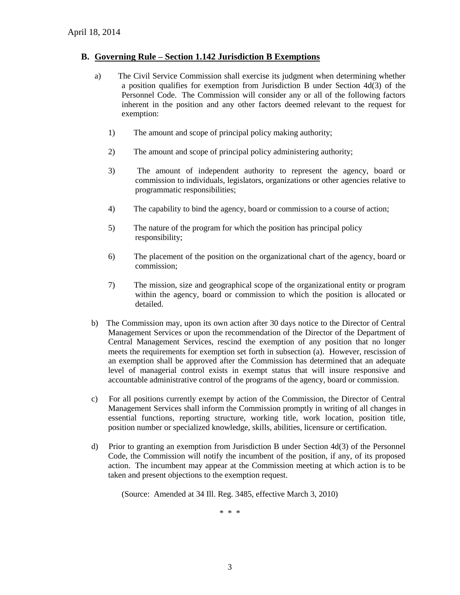#### **B. Governing Rule – Section 1.142 Jurisdiction B Exemptions**

- a) The Civil Service Commission shall exercise its judgment when determining whether a position qualifies for exemption from Jurisdiction B under Section 4d(3) of the Personnel Code. The Commission will consider any or all of the following factors inherent in the position and any other factors deemed relevant to the request for exemption:
	- 1) The amount and scope of principal policy making authority;
	- 2) The amount and scope of principal policy administering authority;
	- 3) The amount of independent authority to represent the agency, board or commission to individuals, legislators, organizations or other agencies relative to programmatic responsibilities;
	- 4) The capability to bind the agency, board or commission to a course of action;
	- 5) The nature of the program for which the position has principal policy responsibility;
	- 6) The placement of the position on the organizational chart of the agency, board or commission;
	- 7) The mission, size and geographical scope of the organizational entity or program within the agency, board or commission to which the position is allocated or detailed.
- b) The Commission may, upon its own action after 30 days notice to the Director of Central Management Services or upon the recommendation of the Director of the Department of Central Management Services, rescind the exemption of any position that no longer meets the requirements for exemption set forth in subsection (a). However, rescission of an exemption shall be approved after the Commission has determined that an adequate level of managerial control exists in exempt status that will insure responsive and accountable administrative control of the programs of the agency, board or commission.
- c) For all positions currently exempt by action of the Commission, the Director of Central Management Services shall inform the Commission promptly in writing of all changes in essential functions, reporting structure, working title, work location, position title, position number or specialized knowledge, skills, abilities, licensure or certification.
- d) Prior to granting an exemption from Jurisdiction B under Section 4d(3) of the Personnel Code, the Commission will notify the incumbent of the position, if any, of its proposed action. The incumbent may appear at the Commission meeting at which action is to be taken and present objections to the exemption request.

(Source: Amended at 34 Ill. Reg. 3485, effective March 3, 2010)

\* \* \*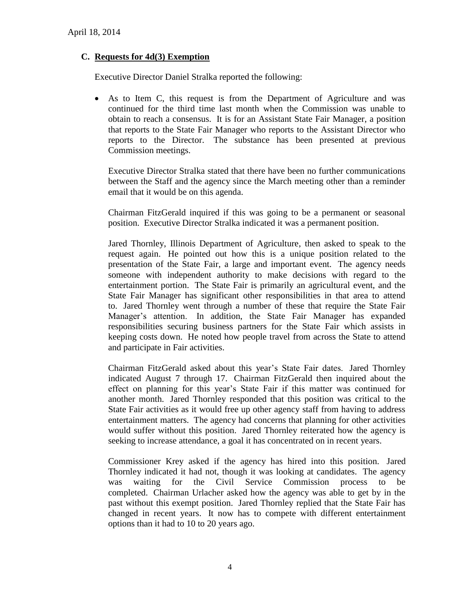# **C. Requests for 4d(3) Exemption**

Executive Director Daniel Stralka reported the following:

 As to Item C, this request is from the Department of Agriculture and was continued for the third time last month when the Commission was unable to obtain to reach a consensus. It is for an Assistant State Fair Manager, a position that reports to the State Fair Manager who reports to the Assistant Director who reports to the Director. The substance has been presented at previous Commission meetings.

Executive Director Stralka stated that there have been no further communications between the Staff and the agency since the March meeting other than a reminder email that it would be on this agenda.

Chairman FitzGerald inquired if this was going to be a permanent or seasonal position. Executive Director Stralka indicated it was a permanent position.

Jared Thornley, Illinois Department of Agriculture, then asked to speak to the request again. He pointed out how this is a unique position related to the presentation of the State Fair, a large and important event. The agency needs someone with independent authority to make decisions with regard to the entertainment portion. The State Fair is primarily an agricultural event, and the State Fair Manager has significant other responsibilities in that area to attend to. Jared Thornley went through a number of these that require the State Fair Manager's attention. In addition, the State Fair Manager has expanded responsibilities securing business partners for the State Fair which assists in keeping costs down. He noted how people travel from across the State to attend and participate in Fair activities.

Chairman FitzGerald asked about this year's State Fair dates. Jared Thornley indicated August 7 through 17. Chairman FitzGerald then inquired about the effect on planning for this year's State Fair if this matter was continued for another month. Jared Thornley responded that this position was critical to the State Fair activities as it would free up other agency staff from having to address entertainment matters. The agency had concerns that planning for other activities would suffer without this position. Jared Thornley reiterated how the agency is seeking to increase attendance, a goal it has concentrated on in recent years.

Commissioner Krey asked if the agency has hired into this position. Jared Thornley indicated it had not, though it was looking at candidates. The agency was waiting for the Civil Service Commission process to be completed. Chairman Urlacher asked how the agency was able to get by in the past without this exempt position. Jared Thornley replied that the State Fair has changed in recent years. It now has to compete with different entertainment options than it had to 10 to 20 years ago.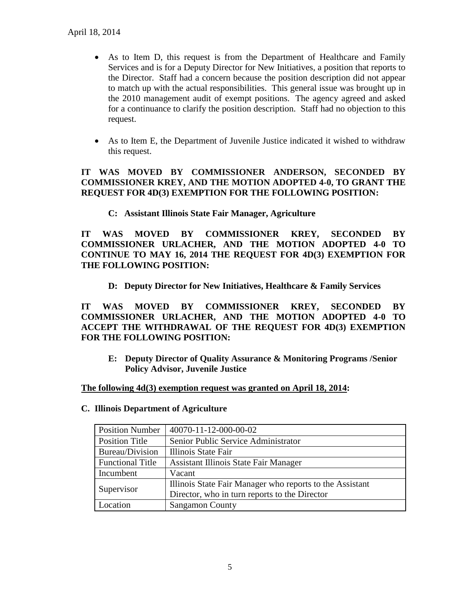- As to Item D, this request is from the Department of Healthcare and Family Services and is for a Deputy Director for New Initiatives, a position that reports to the Director. Staff had a concern because the position description did not appear to match up with the actual responsibilities. This general issue was brought up in the 2010 management audit of exempt positions. The agency agreed and asked for a continuance to clarify the position description. Staff had no objection to this request.
- As to Item E, the Department of Juvenile Justice indicated it wished to withdraw this request.

# **IT WAS MOVED BY COMMISSIONER ANDERSON, SECONDED BY COMMISSIONER KREY, AND THE MOTION ADOPTED 4-0, TO GRANT THE REQUEST FOR 4D(3) EXEMPTION FOR THE FOLLOWING POSITION:**

**C: Assistant Illinois State Fair Manager, Agriculture**

**IT WAS MOVED BY COMMISSIONER KREY, SECONDED BY COMMISSIONER URLACHER, AND THE MOTION ADOPTED 4-0 TO CONTINUE TO MAY 16, 2014 THE REQUEST FOR 4D(3) EXEMPTION FOR THE FOLLOWING POSITION:**

**D: Deputy Director for New Initiatives, Healthcare & Family Services**

**IT WAS MOVED BY COMMISSIONER KREY, SECONDED BY COMMISSIONER URLACHER, AND THE MOTION ADOPTED 4-0 TO ACCEPT THE WITHDRAWAL OF THE REQUEST FOR 4D(3) EXEMPTION FOR THE FOLLOWING POSITION:**

**E: Deputy Director of Quality Assurance & Monitoring Programs /Senior Policy Advisor, Juvenile Justice**

#### **The following 4d(3) exemption request was granted on April 18, 2014:**

#### **C. Illinois Department of Agriculture**

| <b>Position Number</b>  | 40070-11-12-000-00-02                                    |
|-------------------------|----------------------------------------------------------|
| Position Title          | Senior Public Service Administrator                      |
| Bureau/Division         | Illinois State Fair                                      |
| <b>Functional Title</b> | <b>Assistant Illinois State Fair Manager</b>             |
| Incumbent               | Vacant                                                   |
| Supervisor              | Illinois State Fair Manager who reports to the Assistant |
|                         | Director, who in turn reports to the Director            |
| Location                | <b>Sangamon County</b>                                   |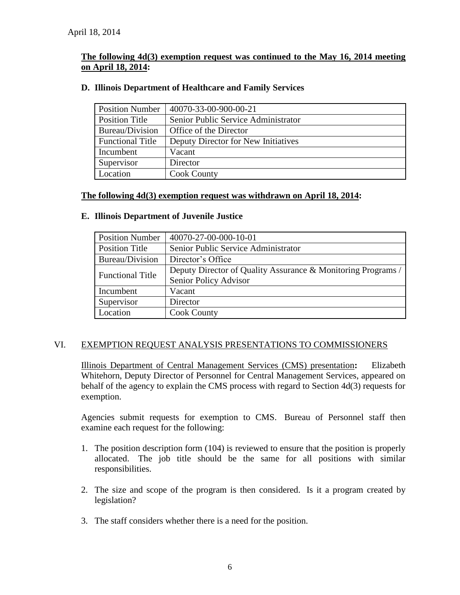# **The following 4d(3) exemption request was continued to the May 16, 2014 meeting on April 18, 2014:**

| <b>Position Number</b>  | 40070-33-00-900-00-21               |
|-------------------------|-------------------------------------|
| <b>Position Title</b>   | Senior Public Service Administrator |
| Bureau/Division         | Office of the Director              |
| <b>Functional Title</b> | Deputy Director for New Initiatives |
| Incumbent               | Vacant                              |
| Supervisor              | Director                            |
| Location                | <b>Cook County</b>                  |

### **D. Illinois Department of Healthcare and Family Services**

# **The following 4d(3) exemption request was withdrawn on April 18, 2014:**

#### **E. Illinois Department of Juvenile Justice**

| <b>Position Number</b>  | 40070-27-00-000-10-01                                        |
|-------------------------|--------------------------------------------------------------|
| <b>Position Title</b>   | Senior Public Service Administrator                          |
| Bureau/Division         | Director's Office                                            |
| <b>Functional Title</b> | Deputy Director of Quality Assurance & Monitoring Programs / |
|                         | Senior Policy Advisor                                        |
| Incumbent               | Vacant                                                       |
| Supervisor              | Director                                                     |
| Location                | <b>Cook County</b>                                           |

#### VI. EXEMPTION REQUEST ANALYSIS PRESENTATIONS TO COMMISSIONERS

Illinois Department of Central Management Services (CMS) presentation**:** Elizabeth Whitehorn, Deputy Director of Personnel for Central Management Services, appeared on behalf of the agency to explain the CMS process with regard to Section 4d(3) requests for exemption.

Agencies submit requests for exemption to CMS. Bureau of Personnel staff then examine each request for the following:

- 1. The position description form (104) is reviewed to ensure that the position is properly allocated. The job title should be the same for all positions with similar responsibilities.
- 2. The size and scope of the program is then considered. Is it a program created by legislation?
- 3. The staff considers whether there is a need for the position.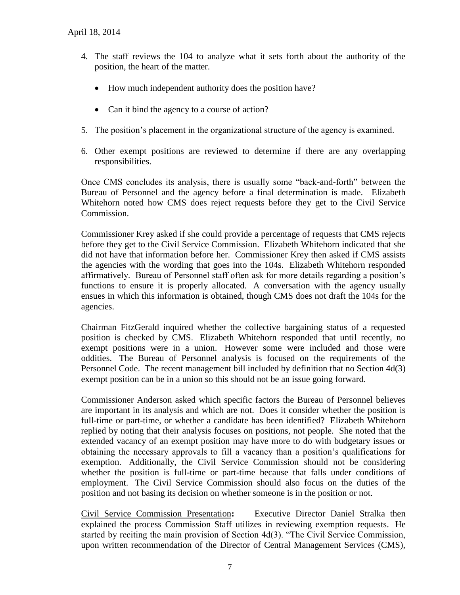- 4. The staff reviews the 104 to analyze what it sets forth about the authority of the position, the heart of the matter.
	- How much independent authority does the position have?
	- Can it bind the agency to a course of action?
- 5. The position's placement in the organizational structure of the agency is examined.
- 6. Other exempt positions are reviewed to determine if there are any overlapping responsibilities.

Once CMS concludes its analysis, there is usually some "back-and-forth" between the Bureau of Personnel and the agency before a final determination is made. Elizabeth Whitehorn noted how CMS does reject requests before they get to the Civil Service Commission.

Commissioner Krey asked if she could provide a percentage of requests that CMS rejects before they get to the Civil Service Commission. Elizabeth Whitehorn indicated that she did not have that information before her. Commissioner Krey then asked if CMS assists the agencies with the wording that goes into the 104s. Elizabeth Whitehorn responded affirmatively. Bureau of Personnel staff often ask for more details regarding a position's functions to ensure it is properly allocated. A conversation with the agency usually ensues in which this information is obtained, though CMS does not draft the 104s for the agencies.

Chairman FitzGerald inquired whether the collective bargaining status of a requested position is checked by CMS. Elizabeth Whitehorn responded that until recently, no exempt positions were in a union. However some were included and those were oddities. The Bureau of Personnel analysis is focused on the requirements of the Personnel Code. The recent management bill included by definition that no Section 4d(3) exempt position can be in a union so this should not be an issue going forward.

Commissioner Anderson asked which specific factors the Bureau of Personnel believes are important in its analysis and which are not. Does it consider whether the position is full-time or part-time, or whether a candidate has been identified? Elizabeth Whitehorn replied by noting that their analysis focuses on positions, not people. She noted that the extended vacancy of an exempt position may have more to do with budgetary issues or obtaining the necessary approvals to fill a vacancy than a position's qualifications for exemption. Additionally, the Civil Service Commission should not be considering whether the position is full-time or part-time because that falls under conditions of employment. The Civil Service Commission should also focus on the duties of the position and not basing its decision on whether someone is in the position or not.

Civil Service Commission Presentation**:** Executive Director Daniel Stralka then explained the process Commission Staff utilizes in reviewing exemption requests. He started by reciting the main provision of Section 4d(3). "The Civil Service Commission, upon written recommendation of the Director of Central Management Services (CMS),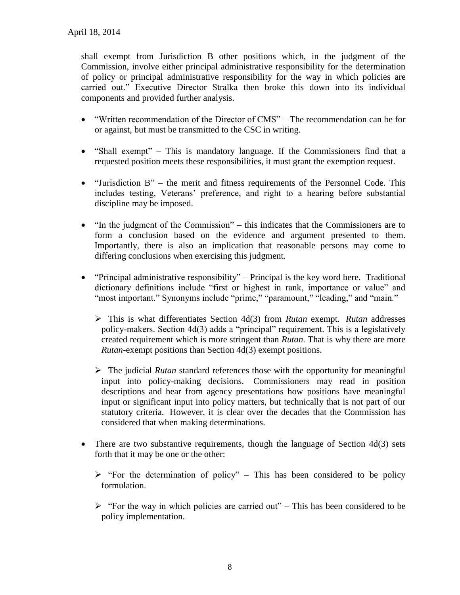shall exempt from Jurisdiction B other positions which, in the judgment of the Commission, involve either principal administrative responsibility for the determination of policy or principal administrative responsibility for the way in which policies are carried out." Executive Director Stralka then broke this down into its individual components and provided further analysis.

- "Written recommendation of the Director of CMS" The recommendation can be for or against, but must be transmitted to the CSC in writing.
- "Shall exempt" This is mandatory language. If the Commissioners find that a requested position meets these responsibilities, it must grant the exemption request.
- $\bullet$  "Jurisdiction B" the merit and fitness requirements of the Personnel Code. This includes testing, Veterans' preference, and right to a hearing before substantial discipline may be imposed.
- "In the judgment of the Commission" this indicates that the Commissioners are to form a conclusion based on the evidence and argument presented to them. Importantly, there is also an implication that reasonable persons may come to differing conclusions when exercising this judgment.
- $\bullet$  "Principal administrative responsibility" Principal is the key word here. Traditional dictionary definitions include "first or highest in rank, importance or value" and "most important." Synonyms include "prime," "paramount," "leading," and "main."
	- This is what differentiates Section 4d(3) from *Rutan* exempt. *Rutan* addresses policy-makers. Section 4d(3) adds a "principal" requirement. This is a legislatively created requirement which is more stringent than *Rutan*. That is why there are more *Rutan*-exempt positions than Section 4d(3) exempt positions.
	- The judicial *Rutan* standard references those with the opportunity for meaningful input into policy-making decisions. Commissioners may read in position descriptions and hear from agency presentations how positions have meaningful input or significant input into policy matters, but technically that is not part of our statutory criteria. However, it is clear over the decades that the Commission has considered that when making determinations.
- There are two substantive requirements, though the language of Section 4d(3) sets forth that it may be one or the other:
	- $\triangleright$  "For the determination of policy" This has been considered to be policy formulation.
	- $\triangleright$  "For the way in which policies are carried out" This has been considered to be policy implementation.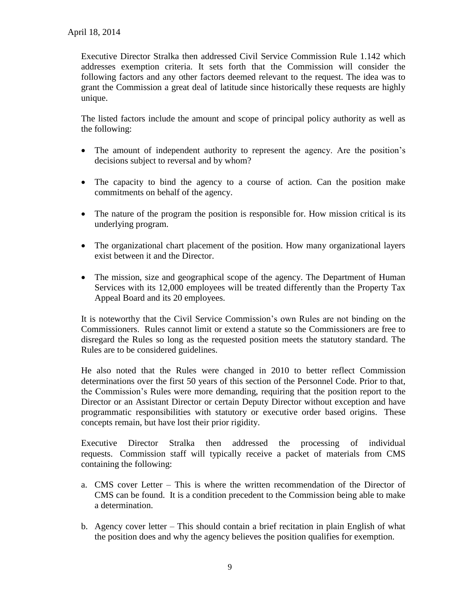Executive Director Stralka then addressed Civil Service Commission Rule 1.142 which addresses exemption criteria. It sets forth that the Commission will consider the following factors and any other factors deemed relevant to the request. The idea was to grant the Commission a great deal of latitude since historically these requests are highly unique.

The listed factors include the amount and scope of principal policy authority as well as the following:

- The amount of independent authority to represent the agency. Are the position's decisions subject to reversal and by whom?
- The capacity to bind the agency to a course of action. Can the position make commitments on behalf of the agency.
- The nature of the program the position is responsible for. How mission critical is its underlying program.
- The organizational chart placement of the position. How many organizational layers exist between it and the Director.
- The mission, size and geographical scope of the agency. The Department of Human Services with its 12,000 employees will be treated differently than the Property Tax Appeal Board and its 20 employees.

It is noteworthy that the Civil Service Commission's own Rules are not binding on the Commissioners. Rules cannot limit or extend a statute so the Commissioners are free to disregard the Rules so long as the requested position meets the statutory standard. The Rules are to be considered guidelines.

He also noted that the Rules were changed in 2010 to better reflect Commission determinations over the first 50 years of this section of the Personnel Code. Prior to that, the Commission's Rules were more demanding, requiring that the position report to the Director or an Assistant Director or certain Deputy Director without exception and have programmatic responsibilities with statutory or executive order based origins. These concepts remain, but have lost their prior rigidity.

Executive Director Stralka then addressed the processing of individual requests. Commission staff will typically receive a packet of materials from CMS containing the following:

- a. CMS cover Letter This is where the written recommendation of the Director of CMS can be found. It is a condition precedent to the Commission being able to make a determination.
- b. Agency cover letter This should contain a brief recitation in plain English of what the position does and why the agency believes the position qualifies for exemption.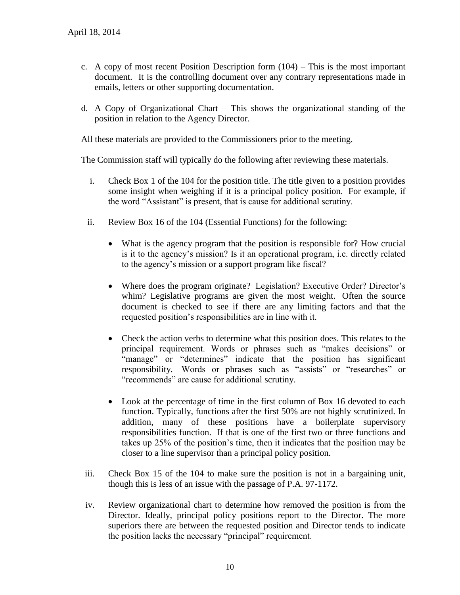- c. A copy of most recent Position Description form  $(104)$  This is the most important document. It is the controlling document over any contrary representations made in emails, letters or other supporting documentation.
- d. A Copy of Organizational Chart This shows the organizational standing of the position in relation to the Agency Director.

All these materials are provided to the Commissioners prior to the meeting.

The Commission staff will typically do the following after reviewing these materials.

- i. Check Box 1 of the 104 for the position title. The title given to a position provides some insight when weighing if it is a principal policy position. For example, if the word "Assistant" is present, that is cause for additional scrutiny.
- ii. Review Box 16 of the 104 (Essential Functions) for the following:
	- What is the agency program that the position is responsible for? How crucial is it to the agency's mission? Is it an operational program, i.e. directly related to the agency's mission or a support program like fiscal?
	- Where does the program originate? Legislation? Executive Order? Director's whim? Legislative programs are given the most weight. Often the source document is checked to see if there are any limiting factors and that the requested position's responsibilities are in line with it.
	- Check the action verbs to determine what this position does. This relates to the principal requirement. Words or phrases such as "makes decisions" or "manage" or "determines" indicate that the position has significant responsibility. Words or phrases such as "assists" or "researches" or "recommends" are cause for additional scrutiny.
	- Look at the percentage of time in the first column of Box 16 devoted to each function. Typically, functions after the first 50% are not highly scrutinized. In addition, many of these positions have a boilerplate supervisory responsibilities function. If that is one of the first two or three functions and takes up 25% of the position's time, then it indicates that the position may be closer to a line supervisor than a principal policy position.
- iii. Check Box 15 of the 104 to make sure the position is not in a bargaining unit, though this is less of an issue with the passage of P.A. 97-1172.
- iv. Review organizational chart to determine how removed the position is from the Director. Ideally, principal policy positions report to the Director. The more superiors there are between the requested position and Director tends to indicate the position lacks the necessary "principal" requirement.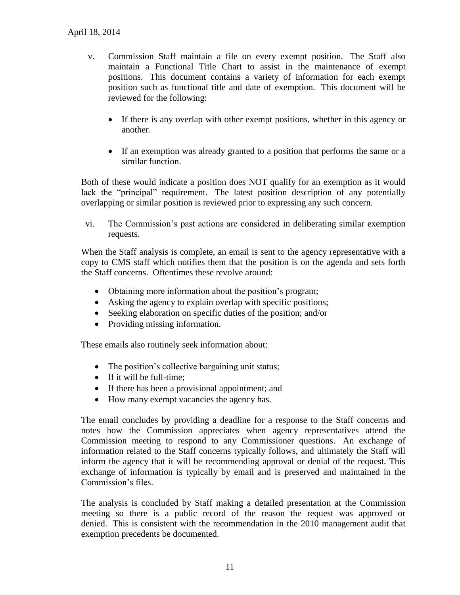- v. Commission Staff maintain a file on every exempt position. The Staff also maintain a Functional Title Chart to assist in the maintenance of exempt positions. This document contains a variety of information for each exempt position such as functional title and date of exemption. This document will be reviewed for the following:
	- If there is any overlap with other exempt positions, whether in this agency or another.
	- If an exemption was already granted to a position that performs the same or a similar function.

Both of these would indicate a position does NOT qualify for an exemption as it would lack the "principal" requirement. The latest position description of any potentially overlapping or similar position is reviewed prior to expressing any such concern.

vi. The Commission's past actions are considered in deliberating similar exemption requests.

When the Staff analysis is complete, an email is sent to the agency representative with a copy to CMS staff which notifies them that the position is on the agenda and sets forth the Staff concerns. Oftentimes these revolve around:

- Obtaining more information about the position's program;
- Asking the agency to explain overlap with specific positions;
- Seeking elaboration on specific duties of the position; and/or
- Providing missing information.

These emails also routinely seek information about:

- The position's collective bargaining unit status;
- If it will be full-time;
- If there has been a provisional appointment; and
- How many exempt vacancies the agency has.

The email concludes by providing a deadline for a response to the Staff concerns and notes how the Commission appreciates when agency representatives attend the Commission meeting to respond to any Commissioner questions. An exchange of information related to the Staff concerns typically follows, and ultimately the Staff will inform the agency that it will be recommending approval or denial of the request. This exchange of information is typically by email and is preserved and maintained in the Commission's files.

The analysis is concluded by Staff making a detailed presentation at the Commission meeting so there is a public record of the reason the request was approved or denied. This is consistent with the recommendation in the 2010 management audit that exemption precedents be documented.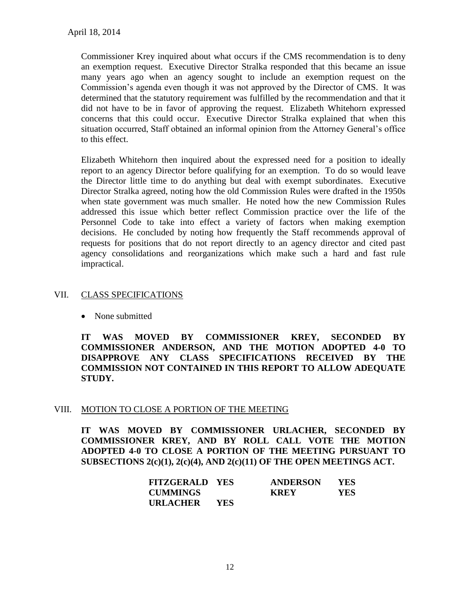Commissioner Krey inquired about what occurs if the CMS recommendation is to deny an exemption request. Executive Director Stralka responded that this became an issue many years ago when an agency sought to include an exemption request on the Commission's agenda even though it was not approved by the Director of CMS. It was determined that the statutory requirement was fulfilled by the recommendation and that it did not have to be in favor of approving the request. Elizabeth Whitehorn expressed concerns that this could occur. Executive Director Stralka explained that when this situation occurred, Staff obtained an informal opinion from the Attorney General's office to this effect.

Elizabeth Whitehorn then inquired about the expressed need for a position to ideally report to an agency Director before qualifying for an exemption. To do so would leave the Director little time to do anything but deal with exempt subordinates. Executive Director Stralka agreed, noting how the old Commission Rules were drafted in the 1950s when state government was much smaller. He noted how the new Commission Rules addressed this issue which better reflect Commission practice over the life of the Personnel Code to take into effect a variety of factors when making exemption decisions. He concluded by noting how frequently the Staff recommends approval of requests for positions that do not report directly to an agency director and cited past agency consolidations and reorganizations which make such a hard and fast rule impractical.

# VII. CLASS SPECIFICATIONS

• None submitted

**IT WAS MOVED BY COMMISSIONER KREY, SECONDED BY COMMISSIONER ANDERSON, AND THE MOTION ADOPTED 4-0 TO DISAPPROVE ANY CLASS SPECIFICATIONS RECEIVED BY THE COMMISSION NOT CONTAINED IN THIS REPORT TO ALLOW ADEQUATE STUDY.** 

# VIII. MOTION TO CLOSE A PORTION OF THE MEETING

**IT WAS MOVED BY COMMISSIONER URLACHER, SECONDED BY COMMISSIONER KREY, AND BY ROLL CALL VOTE THE MOTION ADOPTED 4-0 TO CLOSE A PORTION OF THE MEETING PURSUANT TO SUBSECTIONS 2(c)(1), 2(c)(4), AND 2(c)(11) OF THE OPEN MEETINGS ACT.**

| <b>FITZGERALD YES</b> |            | <b>ANDERSON</b> | YES. |
|-----------------------|------------|-----------------|------|
| <b>CUMMINGS</b>       |            | <b>KREY</b>     | YES  |
| URLACHER              | <b>YES</b> |                 |      |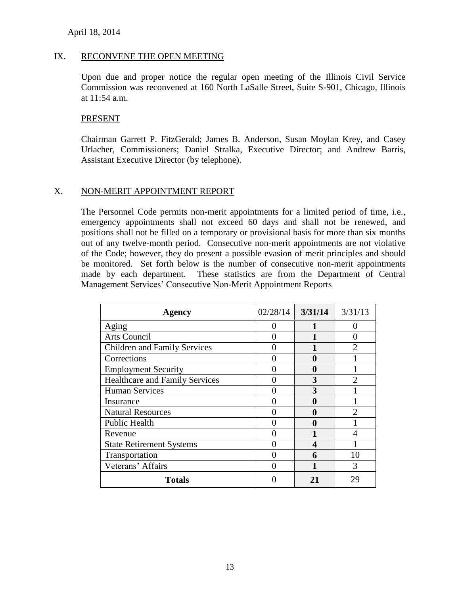#### IX. RECONVENE THE OPEN MEETING

Upon due and proper notice the regular open meeting of the Illinois Civil Service Commission was reconvened at 160 North LaSalle Street, Suite S-901, Chicago, Illinois at 11:54 a.m.

#### PRESENT

Chairman Garrett P. FitzGerald; James B. Anderson, Susan Moylan Krey, and Casey Urlacher, Commissioners; Daniel Stralka, Executive Director; and Andrew Barris, Assistant Executive Director (by telephone).

#### X. NON-MERIT APPOINTMENT REPORT

The Personnel Code permits non-merit appointments for a limited period of time, i.e., emergency appointments shall not exceed 60 days and shall not be renewed, and positions shall not be filled on a temporary or provisional basis for more than six months out of any twelve-month period. Consecutive non-merit appointments are not violative of the Code; however, they do present a possible evasion of merit principles and should be monitored. Set forth below is the number of consecutive non-merit appointments made by each department. These statistics are from the Department of Central Management Services' Consecutive Non-Merit Appointment Reports

| <b>Agency</b>                         | 02/28/14 | 3/31/14 | 3/31/13 |
|---------------------------------------|----------|---------|---------|
| Aging                                 |          |         |         |
| Arts Council                          |          |         |         |
| <b>Children and Family Services</b>   |          |         |         |
| Corrections                           |          | 0       |         |
| <b>Employment Security</b>            |          | 0       |         |
| <b>Healthcare and Family Services</b> |          | 3       | っ       |
| <b>Human Services</b>                 |          | 3       |         |
| Insurance                             |          | 0       |         |
| <b>Natural Resources</b>              |          | 0       | 2       |
| Public Health                         |          | 0       |         |
| Revenue                               |          |         |         |
| <b>State Retirement Systems</b>       |          |         |         |
| Transportation                        |          | 6       | 10      |
| Veterans' Affairs                     |          |         | 3       |
| <b>Totals</b>                         |          | 21      | 29      |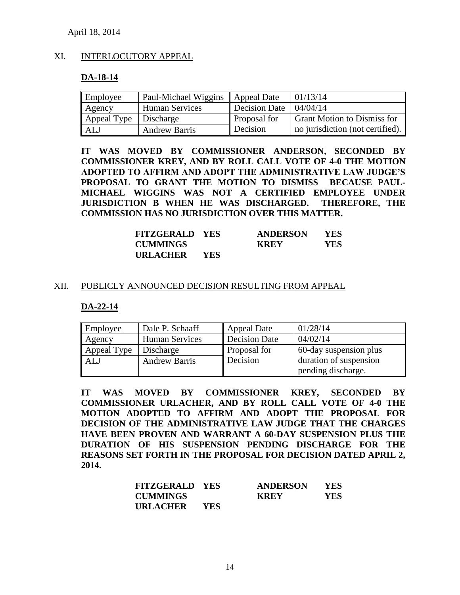#### XI. INTERLOCUTORY APPEAL

#### **DA-18-14**

| Employee                | Paul-Michael Wiggins  | <b>Appeal Date</b>   | 01/13/14                           |
|-------------------------|-----------------------|----------------------|------------------------------------|
| Agency                  | <b>Human Services</b> | <b>Decision Date</b> | 04/04/14                           |
| Appeal Type   Discharge |                       | Proposal for         | <b>Grant Motion to Dismiss for</b> |
| ALJ                     | <b>Andrew Barris</b>  | Decision             | no jurisdiction (not certified).   |

**IT WAS MOVED BY COMMISSIONER ANDERSON, SECONDED BY COMMISSIONER KREY, AND BY ROLL CALL VOTE OF 4-0 THE MOTION ADOPTED TO AFFIRM AND ADOPT THE ADMINISTRATIVE LAW JUDGE'S PROPOSAL TO GRANT THE MOTION TO DISMISS BECAUSE PAUL-MICHAEL WIGGINS WAS NOT A CERTIFIED EMPLOYEE UNDER JURISDICTION B WHEN HE WAS DISCHARGED. THEREFORE, THE COMMISSION HAS NO JURISDICTION OVER THIS MATTER.**

| <b>FITZGERALD YES</b> |            | <b>ANDERSON</b> | YES  |
|-----------------------|------------|-----------------|------|
| <b>CUMMINGS</b>       |            | <b>KREY</b>     | YES. |
| URLACHER              | <b>YES</b> |                 |      |

#### XII. PUBLICLY ANNOUNCED DECISION RESULTING FROM APPEAL

#### **DA-22-14**

| Employee    | Dale P. Schaaff       | <b>Appeal Date</b>   | 01/28/14               |
|-------------|-----------------------|----------------------|------------------------|
| Agency      | <b>Human Services</b> | <b>Decision Date</b> | 04/02/14               |
| Appeal Type | Discharge             | Proposal for         | 60-day suspension plus |
| <b>ALJ</b>  | <b>Andrew Barris</b>  | Decision             | duration of suspension |
|             |                       |                      | pending discharge.     |

**IT WAS MOVED BY COMMISSIONER KREY, SECONDED BY COMMISSIONER URLACHER, AND BY ROLL CALL VOTE OF 4-0 THE MOTION ADOPTED TO AFFIRM AND ADOPT THE PROPOSAL FOR DECISION OF THE ADMINISTRATIVE LAW JUDGE THAT THE CHARGES HAVE BEEN PROVEN AND WARRANT A 60-DAY SUSPENSION PLUS THE DURATION OF HIS SUSPENSION PENDING DISCHARGE FOR THE REASONS SET FORTH IN THE PROPOSAL FOR DECISION DATED APRIL 2, 2014.**

| <b>FITZGERALD YES</b> |            | <b>ANDERSON</b> | YES |
|-----------------------|------------|-----------------|-----|
| <b>CUMMINGS</b>       |            | <b>KREY</b>     | YES |
| URLACHER              | <b>YES</b> |                 |     |